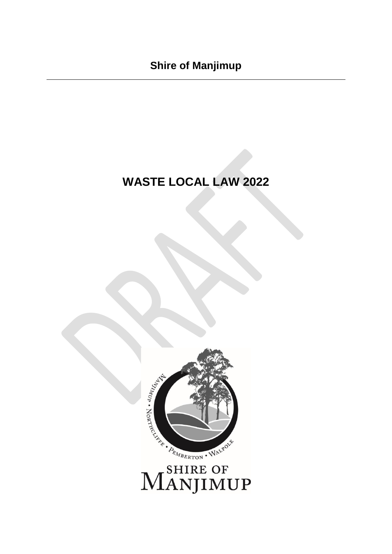# **WASTE LOCAL LAW 2022**



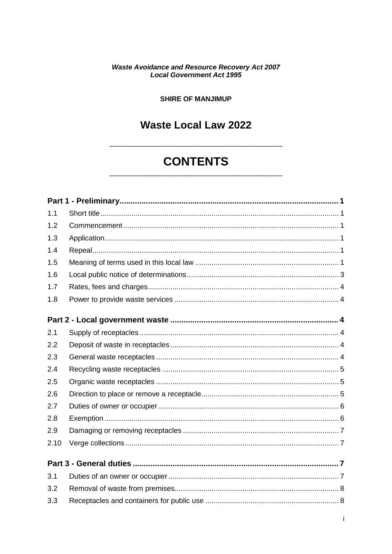#### **Waste Avoidance and Resource Recovery Act 2007 Local Government Act 1995**

#### **SHIRE OF MANJIMUP**

## **Waste Local Law 2022**

## **CONTENTS**

| 1.1  |  |
|------|--|
| 1.2  |  |
| 1.3  |  |
| 1.4  |  |
| 1.5  |  |
| 1.6  |  |
| 1.7  |  |
| 1.8  |  |
|      |  |
|      |  |
| 2.1  |  |
| 2.2  |  |
| 2.3  |  |
| 2.4  |  |
| 2.5  |  |
| 2.6  |  |
| 2.7  |  |
| 2.8  |  |
| 2.9  |  |
| 2.10 |  |
|      |  |
| 3.1  |  |
| 3.2  |  |
| 3.3  |  |
|      |  |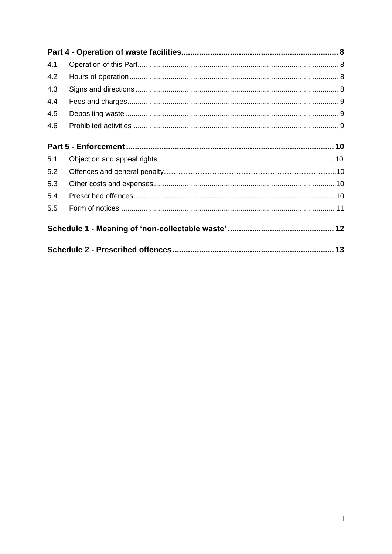| 4.1 |  |  |  |  |  |  |
|-----|--|--|--|--|--|--|
| 4.2 |  |  |  |  |  |  |
| 4.3 |  |  |  |  |  |  |
| 4.4 |  |  |  |  |  |  |
| 4.5 |  |  |  |  |  |  |
| 4.6 |  |  |  |  |  |  |
|     |  |  |  |  |  |  |
| 5.1 |  |  |  |  |  |  |
| 5.2 |  |  |  |  |  |  |
| 5.3 |  |  |  |  |  |  |
| 5.4 |  |  |  |  |  |  |
| 5.5 |  |  |  |  |  |  |
|     |  |  |  |  |  |  |
|     |  |  |  |  |  |  |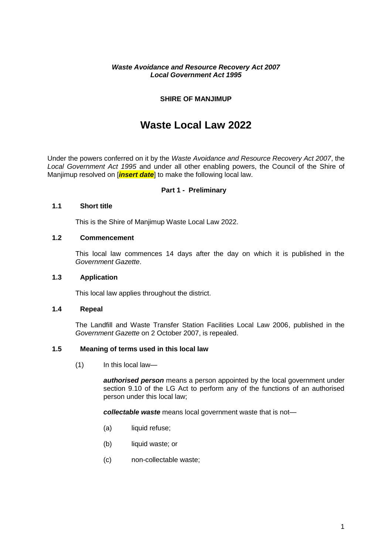#### *Waste Avoidance and Resource Recovery Act 2007 Local Government Act 1995*

#### **SHIRE OF MANJIMUP**

### **Waste Local Law 2022**

<span id="page-3-0"></span>Under the powers conferred on it by the *Waste Avoidance and Resource Recovery Act 2007*, the *Local Government Act 1995* and under all other enabling powers, the Council of the Shire of Manjimup resolved on [*insert date*] to make the following local law.

#### **Part 1 - Preliminary**

#### <span id="page-3-1"></span>**1.1 Short title**

This is the Shire of Manjimup Waste Local Law 2022.

#### <span id="page-3-2"></span>**1.2 Commencement**

This local law commences 14 days after the day on which it is published in the *Government Gazette*.

#### <span id="page-3-3"></span>**1.3 Application**

This local law applies throughout the district.

#### <span id="page-3-4"></span>**1.4 Repeal**

The Landfill and Waste Transfer Station Facilities Local Law 2006, published in the *Government Gazette* on 2 October 2007, is repealed.

#### <span id="page-3-5"></span>**1.5 Meaning of terms used in this local law**

(1) In this local law—

*authorised person* means a person appointed by the local government under section 9.10 of the LG Act to perform any of the functions of an authorised person under this local law;

*collectable waste* means local government waste that is not—

- (a) liquid refuse;
- (b) liquid waste; or
- (c) non-collectable waste;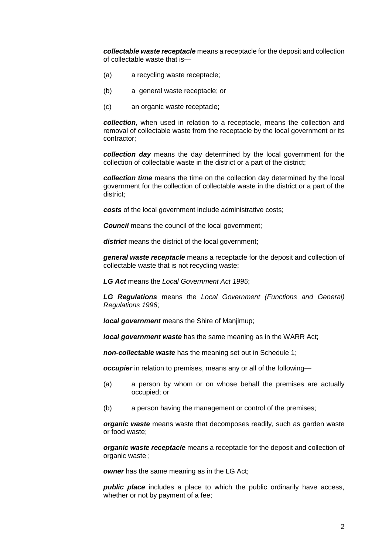*collectable waste receptacle* means a receptacle for the deposit and collection of collectable waste that is—

- (a) a recycling waste receptacle;
- (b) a general waste receptacle; or
- (c) an organic waste receptacle;

*collection*, when used in relation to a receptacle, means the collection and removal of collectable waste from the receptacle by the local government or its contractor;

*collection day* means the day determined by the local government for the collection of collectable waste in the district or a part of the district;

*collection time* means the time on the collection day determined by the local government for the collection of collectable waste in the district or a part of the district;

*costs* of the local government include administrative costs:

**Council** means the council of the local government;

*district* means the district of the local government;

*general waste receptacle* means a receptacle for the deposit and collection of collectable waste that is not recycling waste;

*LG Act* means the *Local Government Act 1995*;

*LG Regulations* means the *Local Government (Functions and General) Regulations 1996*;

*local government* means the Shire of Maniimup:

*local government waste* has the same meaning as in the WARR Act;

*non-collectable waste* has the meaning set out in Schedule 1;

*occupier* in relation to premises, means any or all of the following—

- (a) a person by whom or on whose behalf the premises are actually occupied; or
- (b) a person having the management or control of the premises;

*organic waste* means waste that decomposes readily, such as garden waste or food waste;

*organic waste receptacle* means a receptacle for the deposit and collection of organic waste ;

**owner** has the same meaning as in the LG Act;

*public place* includes a place to which the public ordinarily have access, whether or not by payment of a fee;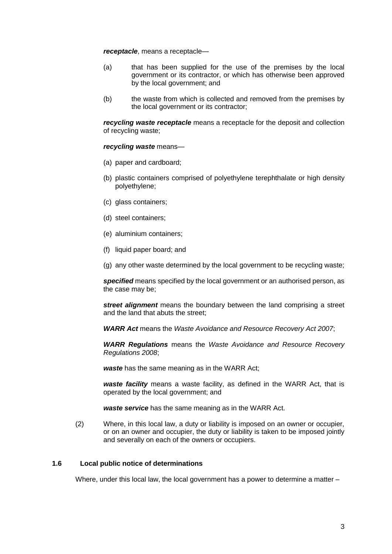*receptacle*, means a receptacle—

- (a) that has been supplied for the use of the premises by the local government or its contractor, or which has otherwise been approved by the local government; and
- (b) the waste from which is collected and removed from the premises by the local government or its contractor;

*recycling waste receptacle* means a receptacle for the deposit and collection of recycling waste;

#### *recycling waste* means—

- (a) paper and cardboard;
- (b) plastic containers comprised of polyethylene terephthalate or high density polyethylene;
- (c) glass containers;
- (d) steel containers;
- (e) aluminium containers;
- (f) liquid paper board; and
- (g) any other waste determined by the local government to be recycling waste;

*specified* means specified by the local government or an authorised person, as the case may be;

*street alignment* means the boundary between the land comprising a street and the land that abuts the street;

*WARR Act* means the *Waste Avoidance and Resource Recovery Act 2007*;

*WARR Regulations* means the *Waste Avoidance and Resource Recovery Regulations 2008*;

*waste* has the same meaning as in the WARR Act;

*waste facility* means a waste facility, as defined in the WARR Act, that is operated by the local government; and

*waste service* has the same meaning as in the WARR Act.

(2) Where, in this local law, a duty or liability is imposed on an owner or occupier, or on an owner and occupier, the duty or liability is taken to be imposed jointly and severally on each of the owners or occupiers.

#### <span id="page-5-0"></span>**1.6 Local public notice of determinations**

Where, under this local law, the local government has a power to determine a matter –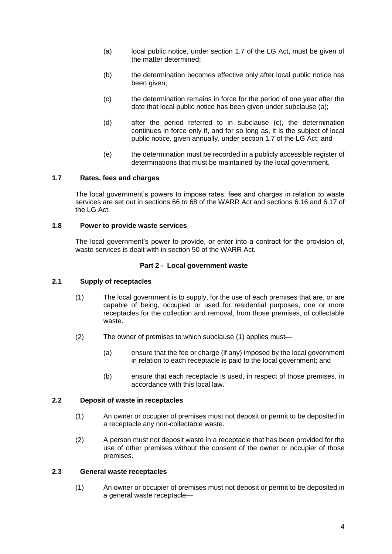- (a) local public notice, under section 1.7 of the LG Act, must be given of the matter determined;
- (b) the determination becomes effective only after local public notice has been given;
- (c) the determination remains in force for the period of one year after the date that local public notice has been given under subclause (a);
- (d) after the period referred to in subclause (c), the determination continues in force only if, and for so long as, it is the subject of local public notice, given annually, under section 1.7 of the LG Act; and
- (e) the determination must be recorded in a publicly accessible register of determinations that must be maintained by the local government.

#### <span id="page-6-0"></span>**1.7 Rates, fees and charges**

The local government's powers to impose rates, fees and charges in relation to waste services are set out in sections 66 to 68 of the WARR Act and sections 6.16 and 6.17 of the LG Act.

#### <span id="page-6-1"></span>**1.8 Power to provide waste services**

The local government's power to provide, or enter into a contract for the provision of, waste services is dealt with in section 50 of the WARR Act.

#### **Part 2 - Local government waste**

#### <span id="page-6-3"></span><span id="page-6-2"></span>**2.1 Supply of receptacles**

- (1) The local government is to supply, for the use of each premises that are, or are capable of being, occupied or used for residential purposes, one or more receptacles for the collection and removal, from those premises, of collectable waste.
- <span id="page-6-6"></span>(2) The owner of premises to which subclause (1) applies must—
	- (a) ensure that the fee or charge (if any) imposed by the local government in relation to each receptacle is paid to the local government; and
	- (b) ensure that each receptacle is used, in respect of those premises, in accordance with this local law.

#### <span id="page-6-8"></span><span id="page-6-7"></span><span id="page-6-4"></span>**2.2 Deposit of waste in receptacles**

- (1) An owner or occupier of premises must not deposit or permit to be deposited in a receptacle any non-collectable waste.
- <span id="page-6-9"></span>(2) A person must not deposit waste in a receptacle that has been provided for the use of other premises without the consent of the owner or occupier of those premises.

#### <span id="page-6-10"></span><span id="page-6-5"></span>**2.3 General waste receptacles**

(1) An owner or occupier of premises must not deposit or permit to be deposited in a general waste receptacle—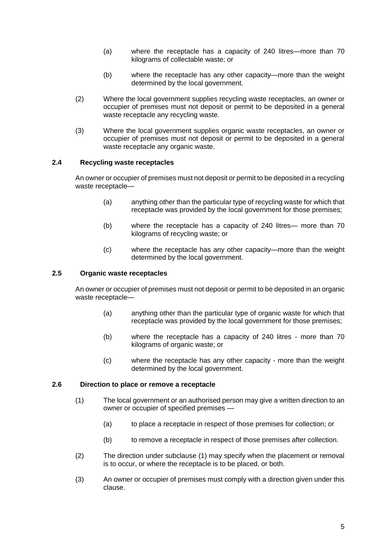- (a) where the receptacle has a capacity of 240 litres—more than 70 kilograms of collectable waste; or
- (b) where the receptacle has any other capacity—more than the weight determined by the local government.
- <span id="page-7-3"></span>(2) Where the local government supplies recycling waste receptacles, an owner or occupier of premises must not deposit or permit to be deposited in a general waste receptacle any recycling waste.
- (3) Where the local government supplies organic waste receptacles, an owner or occupier of premises must not deposit or permit to be deposited in a general waste receptacle any organic waste.

#### <span id="page-7-4"></span><span id="page-7-0"></span>**2.4 Recycling waste receptacles**

<span id="page-7-5"></span>An owner or occupier of premises must not deposit or permit to be deposited in a recycling waste receptacle—

- (a) anything other than the particular type of recycling waste for which that receptacle was provided by the local government for those premises;
- (b) where the receptacle has a capacity of 240 litres— more than 70 kilograms of recycling waste; or
- (c) where the receptacle has any other capacity—more than the weight determined by the local government.

#### <span id="page-7-6"></span><span id="page-7-1"></span>**2.5 Organic waste receptacles**

<span id="page-7-7"></span>An owner or occupier of premises must not deposit or permit to be deposited in an organic waste receptacle—

- (a) anything other than the particular type of organic waste for which that receptacle was provided by the local government for those premises;
- (b) where the receptacle has a capacity of 240 litres more than 70 kilograms of organic waste; or
- (c) where the receptacle has any other capacity more than the weight determined by the local government.

#### <span id="page-7-2"></span>**2.6 Direction to place or remove a receptacle**

- (1) The local government or an authorised person may give a written direction to an owner or occupier of specified premises —
	- (a) to place a receptacle in respect of those premises for collection; or
	- (b) to remove a receptacle in respect of those premises after collection.
- (2) The direction under subclause (1) may specify when the placement or removal is to occur, or where the receptacle is to be placed, or both.
- <span id="page-7-8"></span>(3) An owner or occupier of premises must comply with a direction given under this clause.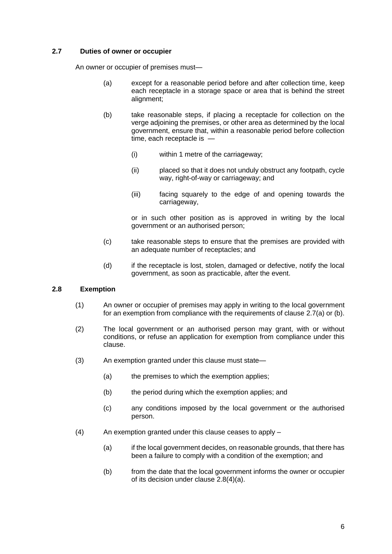#### <span id="page-8-2"></span><span id="page-8-0"></span>**2.7 Duties of owner or occupier**

<span id="page-8-4"></span>An owner or occupier of premises must—

- (a) except for a reasonable period before and after collection time, keep each receptacle in a storage space or area that is behind the street alignment;
- (b) take reasonable steps, if placing a receptacle for collection on the verge adjoining the premises, or other area as determined by the local government, ensure that, within a reasonable period before collection time, each receptacle is -
	- (i) within 1 metre of the carriageway;
	- (ii) placed so that it does not unduly obstruct any footpath, cycle way, right-of-way or carriageway; and
	- (iii) facing squarely to the edge of and opening towards the carriageway,

or in such other position as is approved in writing by the local government or an authorised person;

- (c) take reasonable steps to ensure that the premises are provided with an adequate number of receptacles; and
- (d) if the receptacle is lost, stolen, damaged or defective, notify the local government, as soon as practicable, after the event.

#### <span id="page-8-6"></span><span id="page-8-5"></span><span id="page-8-1"></span>**2.8 Exemption**

- (1) An owner or occupier of premises may apply in writing to the local government for an exemption from compliance with the requirements of clause [2.7\(a\)](#page-8-2) or (b).
- (2) The local government or an authorised person may grant, with or without conditions, or refuse an application for exemption from compliance under this clause.
- (3) An exemption granted under this clause must state—
	- (a) the premises to which the exemption applies;
	- (b) the period during which the exemption applies; and
	- (c) any conditions imposed by the local government or the authorised person.
- <span id="page-8-3"></span>(4) An exemption granted under this clause ceases to apply –
	- (a) if the local government decides, on reasonable grounds, that there has been a failure to comply with a condition of the exemption; and
	- (b) from the date that the local government informs the owner or occupier of its decision under clause [2.8\(4\)\(a\).](#page-8-3)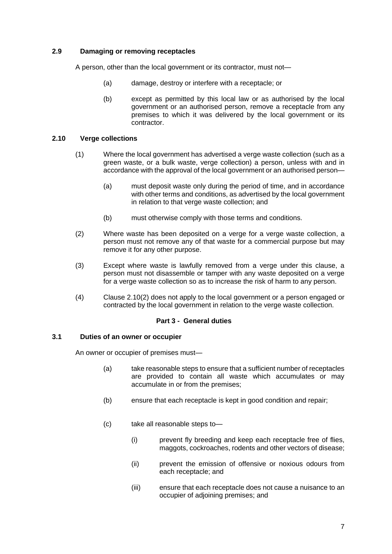#### <span id="page-9-5"></span><span id="page-9-0"></span>**2.9 Damaging or removing receptacles**

<span id="page-9-6"></span>A person, other than the local government or its contractor, must not—

- (a) damage, destroy or interfere with a receptacle; or
- (b) except as permitted by this local law or as authorised by the local government or an authorised person, remove a receptacle from any premises to which it was delivered by the local government or its contractor.

#### <span id="page-9-1"></span>**2.10 Verge collections**

- (1) Where the local government has advertised a verge waste collection (such as a green waste, or a bulk waste, verge collection) a person, unless with and in accordance with the approval of the local government or an authorised person—
	- (a) must deposit waste only during the period of time, and in accordance with other terms and conditions, as advertised by the local government in relation to that verge waste collection; and
	- (b) must otherwise comply with those terms and conditions.
- <span id="page-9-4"></span>(2) Where waste has been deposited on a verge for a verge waste collection, a person must not remove any of that waste for a commercial purpose but may remove it for any other purpose.
- (3) Except where waste is lawfully removed from a verge under this clause, a person must not disassemble or tamper with any waste deposited on a verge for a verge waste collection so as to increase the risk of harm to any person.
- (4) Clause [2.10\(2\)](#page-9-4) does not apply to the local government or a person engaged or contracted by the local government in relation to the verge waste collection.

#### **Part 3 - General duties**

#### <span id="page-9-7"></span><span id="page-9-3"></span><span id="page-9-2"></span>**3.1 Duties of an owner or occupier**

<span id="page-9-8"></span>An owner or occupier of premises must—

- (a) take reasonable steps to ensure that a sufficient number of receptacles are provided to contain all waste which accumulates or may accumulate in or from the premises;
- (b) ensure that each receptacle is kept in good condition and repair;
- <span id="page-9-11"></span><span id="page-9-10"></span><span id="page-9-9"></span>(c) take all reasonable steps to—
	- (i) prevent fly breeding and keep each receptacle free of flies, maggots, cockroaches, rodents and other vectors of disease;
	- (ii) prevent the emission of offensive or noxious odours from each receptacle; and
	- (iii) ensure that each receptacle does not cause a nuisance to an occupier of adjoining premises; and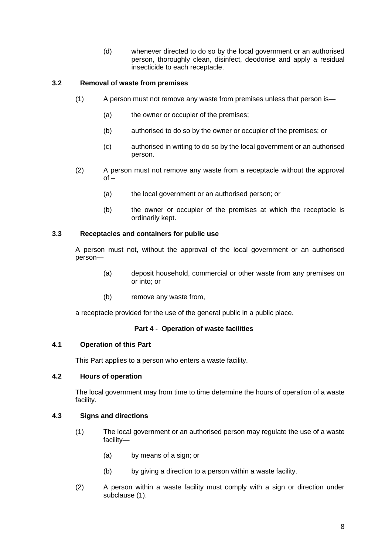(d) whenever directed to do so by the local government or an authorised person, thoroughly clean, disinfect, deodorise and apply a residual insecticide to each receptacle.

#### <span id="page-10-7"></span><span id="page-10-6"></span><span id="page-10-0"></span>**3.2 Removal of waste from premises**

- (1) A person must not remove any waste from premises unless that person is—
	- (a) the owner or occupier of the premises;
	- (b) authorised to do so by the owner or occupier of the premises; or
	- (c) authorised in writing to do so by the local government or an authorised person.
- <span id="page-10-8"></span>(2) A person must not remove any waste from a receptacle without the approval  $of -$ 
	- (a) the local government or an authorised person; or
	- (b) the owner or occupier of the premises at which the receptacle is ordinarily kept.

#### <span id="page-10-1"></span>**3.3 Receptacles and containers for public use**

A person must not, without the approval of the local government or an authorised person—

- (a) deposit household, commercial or other waste from any premises on or into; or
- (b) remove any waste from,

a receptacle provided for the use of the general public in a public place.

#### **Part 4 - Operation of waste facilities**

#### <span id="page-10-3"></span><span id="page-10-2"></span>**4.1 Operation of this Part**

This Part applies to a person who enters a waste facility.

#### <span id="page-10-4"></span>**4.2 Hours of operation**

The local government may from time to time determine the hours of operation of a waste facility.

#### <span id="page-10-5"></span>**4.3 Signs and directions**

- (1) The local government or an authorised person may regulate the use of a waste facility—
	- (a) by means of a sign; or
	- (b) by giving a direction to a person within a waste facility.
- <span id="page-10-9"></span>(2) A person within a waste facility must comply with a sign or direction under subclause (1).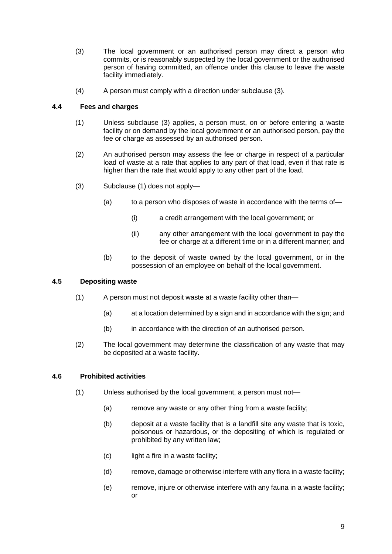- (3) The local government or an authorised person may direct a person who commits, or is reasonably suspected by the local government or the authorised person of having committed, an offence under this clause to leave the waste facility immediately.
- (4) A person must comply with a direction under subclause (3).

#### <span id="page-11-4"></span><span id="page-11-3"></span><span id="page-11-0"></span>**4.4 Fees and charges**

- (1) Unless subclause (3) applies, a person must, on or before entering a waste facility or on demand by the local government or an authorised person, pay the fee or charge as assessed by an authorised person.
- (2) An authorised person may assess the fee or charge in respect of a particular load of waste at a rate that applies to any part of that load, even if that rate is higher than the rate that would apply to any other part of the load.
- (3) Subclause (1) does not apply—
	- (a) to a person who disposes of waste in accordance with the terms of—
		- (i) a credit arrangement with the local government; or
		- (ii) any other arrangement with the local government to pay the fee or charge at a different time or in a different manner; and
	- (b) to the deposit of waste owned by the local government, or in the possession of an employee on behalf of the local government.

#### <span id="page-11-5"></span><span id="page-11-1"></span>**4.5 Depositing waste**

- (1) A person must not deposit waste at a waste facility other than—
	- (a) at a location determined by a sign and in accordance with the sign; and
	- (b) in accordance with the direction of an authorised person.
- (2) The local government may determine the classification of any waste that may be deposited at a waste facility.

#### <span id="page-11-6"></span><span id="page-11-2"></span>**4.6 Prohibited activities**

- <span id="page-11-10"></span><span id="page-11-9"></span><span id="page-11-8"></span><span id="page-11-7"></span>(1) Unless authorised by the local government, a person must not—
	- (a) remove any waste or any other thing from a waste facility;
	- (b) deposit at a waste facility that is a landfill site any waste that is toxic, poisonous or hazardous, or the depositing of which is regulated or prohibited by any written law;
	- (c) light a fire in a waste facility;
	- (d) remove, damage or otherwise interfere with any flora in a waste facility;
	- (e) remove, injure or otherwise interfere with any fauna in a waste facility; or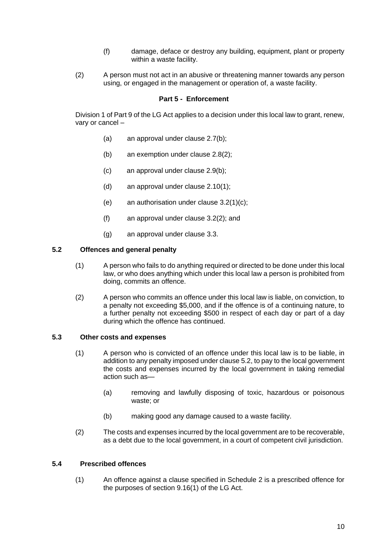- (f) damage, deface or destroy any building, equipment, plant or property within a waste facility.
- <span id="page-12-5"></span><span id="page-12-4"></span><span id="page-12-0"></span>(2) A person must not act in an abusive or threatening manner towards any person using, or engaged in the management or operation of, a waste facility.

#### **Part 5 - Enforcement**

<span id="page-12-1"></span>Division 1 of Part 9 of the LG Act applies to a decision under this local law to grant, renew, vary or cancel –

- (a) an approval under clause 2.7(b);
- (b) an exemption under clause 2.8(2);
- (c) an approval under clause 2.9(b);
- (d) an approval under clause 2.10(1);
- (e) an authorisation under clause 3.2(1)(c);
- (f) an approval under clause 3.2(2); and
- (g) an approval under clause 3.3.

#### **5.2 Offences and general penalty**

- (1) A person who fails to do anything required or directed to be done under this local law, or who does anything which under this local law a person is prohibited from doing, commits an offence.
- (2) A person who commits an offence under this local law is liable, on conviction, to a penalty not exceeding \$5,000, and if the offence is of a continuing nature, to a further penalty not exceeding \$500 in respect of each day or part of a day during which the offence has continued.

#### <span id="page-12-2"></span>**5.3 Other costs and expenses**

- (1) A person who is convicted of an offence under this local law is to be liable, in addition to any penalty imposed under clause 5.2, to pay to the local government the costs and expenses incurred by the local government in taking remedial action such as—
	- (a) removing and lawfully disposing of toxic, hazardous or poisonous waste; or
	- (b) making good any damage caused to a waste facility.
- (2) The costs and expenses incurred by the local government are to be recoverable, as a debt due to the local government, in a court of competent civil jurisdiction.

#### <span id="page-12-3"></span>**5.4 Prescribed offences**

(1) An offence against a clause specified in Schedule 2 is a prescribed offence for the purposes of section 9.16(1) of the LG Act.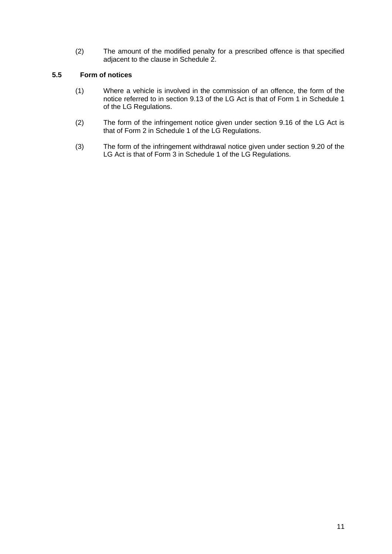(2) The amount of the modified penalty for a prescribed offence is that specified adjacent to the clause in Schedule 2.

#### <span id="page-13-0"></span>**5.5 Form of notices**

- (1) Where a vehicle is involved in the commission of an offence, the form of the notice referred to in section 9.13 of the LG Act is that of Form 1 in Schedule 1 of the LG Regulations.
- (2) The form of the infringement notice given under section 9.16 of the LG Act is that of Form 2 in Schedule 1 of the LG Regulations.
- (3) The form of the infringement withdrawal notice given under section 9.20 of the LG Act is that of Form 3 in Schedule 1 of the LG Regulations.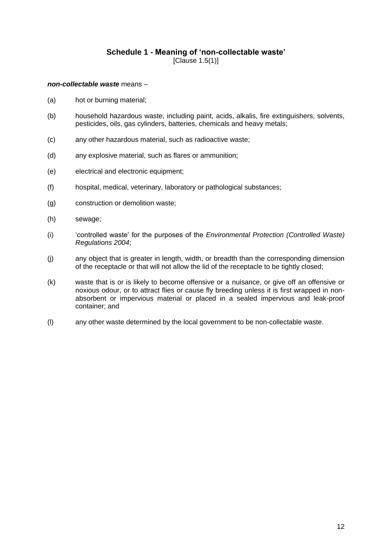#### **Schedule 1 - Meaning of 'non-collectable waste'** [Clause 1.5(1)]

#### <span id="page-14-0"></span>*non-collectable waste* means –

- (a) hot or burning material;
- (b) household hazardous waste, including paint, acids, alkalis, fire extinguishers, solvents, pesticides, oils, gas cylinders, batteries, chemicals and heavy metals;
- (c) any other hazardous material, such as radioactive waste;
- (d) any explosive material, such as flares or ammunition;
- (e) electrical and electronic equipment;
- (f) hospital, medical, veterinary, laboratory or pathological substances;
- (g) construction or demolition waste;
- (h) sewage;
- (i) 'controlled waste' for the purposes of the *Environmental Protection (Controlled Waste) Regulations 2004*;
- (j) any object that is greater in length, width, or breadth than the corresponding dimension of the receptacle or that will not allow the lid of the receptacle to be tightly closed;
- (k) waste that is or is likely to become offensive or a nuisance, or give off an offensive or noxious odour, or to attract flies or cause fly breeding unless it is first wrapped in nonabsorbent or impervious material or placed in a sealed impervious and leak-proof container; and
- (l) any other waste determined by the local government to be non-collectable waste.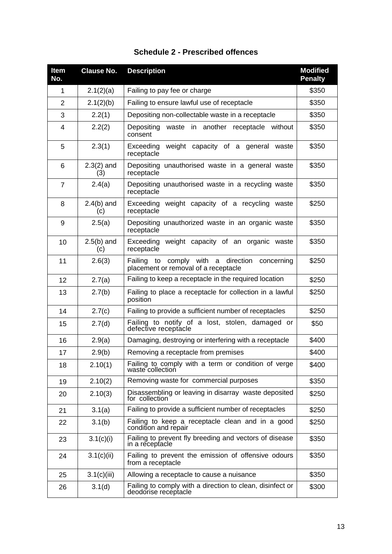<span id="page-15-0"></span>

| <b>Item</b><br>No. | <b>Clause No.</b>   | <b>Description</b>                                                                       | <b>Modified</b><br><b>Penalty</b> |
|--------------------|---------------------|------------------------------------------------------------------------------------------|-----------------------------------|
| 1                  | 2.1(2)(a)           | Failing to pay fee or charge                                                             | \$350                             |
| $\overline{2}$     | 2.1(2)(b)           | Failing to ensure lawful use of receptacle                                               | \$350                             |
| 3                  | 2.2(1)              | Depositing non-collectable waste in a receptacle                                         | \$350                             |
| 4                  | 2.2(2)              | waste in another receptacle without<br>Depositing<br>consent                             | \$350                             |
| 5                  | 2.3(1)              | Exceeding weight capacity of a general waste<br>receptacle                               | \$350                             |
| 6                  | $2.3(2)$ and<br>(3) | Depositing unauthorised waste in a general waste<br>receptacle                           | \$350                             |
| $\overline{7}$     | 2.4(a)              | Depositing unauthorised waste in a recycling waste<br>receptacle                         | \$350                             |
| 8                  | $2.4(b)$ and<br>(c) | Exceeding weight capacity of a recycling waste<br>receptacle                             | \$250                             |
| 9                  | 2.5(a)              | Depositing unauthorized waste in an organic waste<br>receptacle                          | \$350                             |
| 10                 | $2.5(b)$ and<br>(c) | Exceeding weight capacity of an organic waste<br>receptacle                              | \$350                             |
| 11                 | 2.6(3)              | Failing to comply with a direction<br>concerning<br>placement or removal of a receptacle | \$250                             |
| 12                 | 2.7(a)              | Failing to keep a receptacle in the required location                                    | \$250                             |
| 13                 | 2.7(b)              | Failing to place a receptacle for collection in a lawful<br>position                     | \$250                             |
| 14                 | 2.7(c)              | Failing to provide a sufficient number of receptacles                                    | \$250                             |
| 15                 | 2.7(d)              | Failing to notify of a lost, stolen, damaged or<br>defective receptacle                  | \$50                              |
| 16                 | 2.9(a)              | Damaging, destroying or interfering with a receptacle                                    | \$400                             |
| 17                 | 2.9(b)              | Removing a receptacle from premises                                                      | \$400                             |
| 18                 | 2.10(1)             | Failing to comply with a term or condition of verge<br>waste collection                  | \$400                             |
| 19                 | 2.10(2)             | Removing waste for commercial purposes                                                   | \$350                             |
| 20                 | 2.10(3)             | Disassembling or leaving in disarray waste deposited<br>for collection                   | \$250                             |
| 21                 | 3.1(a)              | Failing to provide a sufficient number of receptacles                                    | \$250                             |
| 22                 | 3.1(b)              | Failing to keep a receptacle clean and in a good<br>condition and repair                 | \$250                             |
| 23                 | 3.1(c)(i)           | Failing to prevent fly breeding and vectors of disease<br>in a receptacle                | \$350                             |
| 24                 | 3.1(c)(ii)          | Failing to prevent the emission of offensive odours<br>from a receptacle                 | \$350                             |
| 25                 | 3.1(c)(iii)         | Allowing a receptacle to cause a nuisance                                                | \$350                             |
| 26                 | 3.1(d)              | Failing to comply with a direction to clean, disinfect or<br>deodorise receptacle        | \$300                             |

### **Schedule 2 - Prescribed offences**